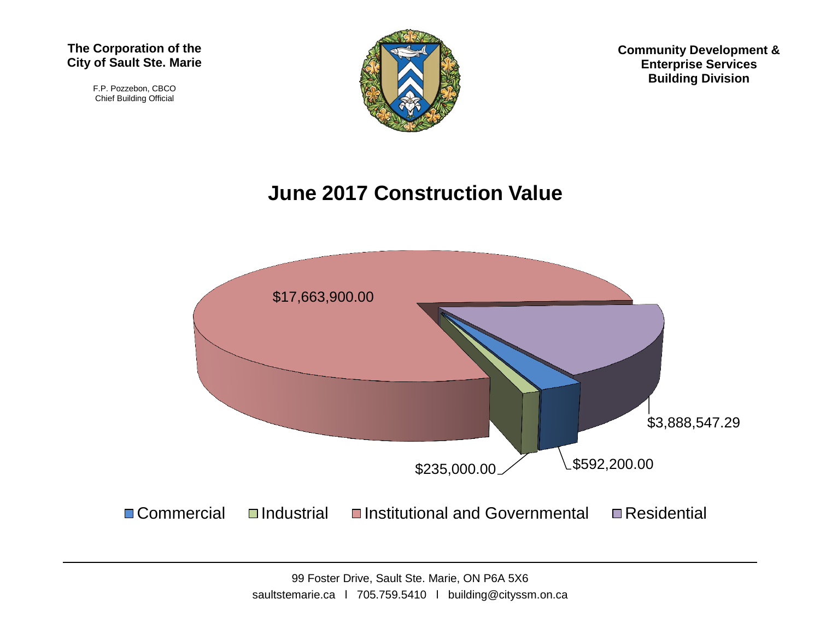#### **The Corporation of the City of Sault Ste. Marie**

F.P. Pozzebon, CBCO Chief Building Official



**Community Development & Enterprise Services Building Division**

## **June 2017 Construction Value**

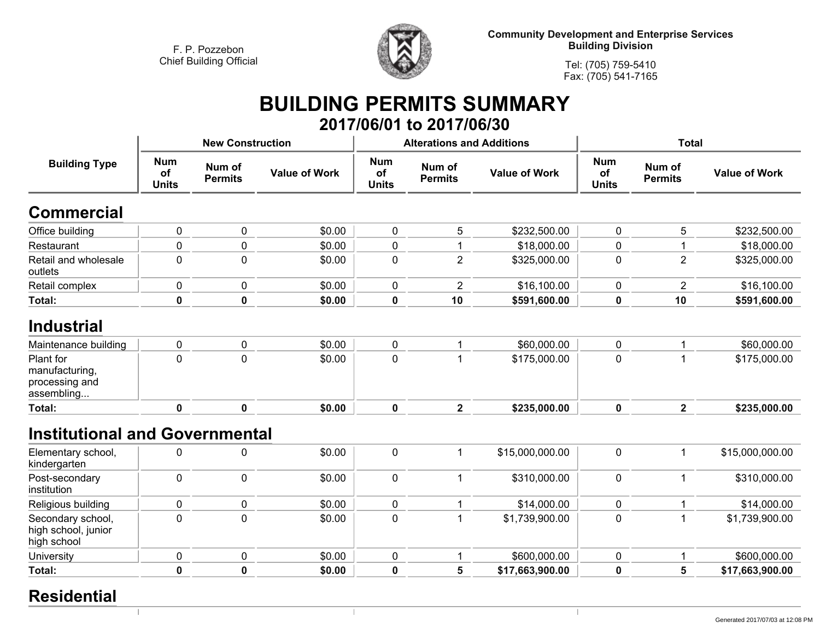

**Community Development and Enterprise Services Building Division**

**Tel: (705) 759-5410Fax: (705) 541-7165**

## **BUILDING PERMITS SUMMARY 2017/06/01 to 2017/06/30**

| <b>Building Type</b>                                        |                                  | <b>New Construction</b>  |                      |                                  | <b>Alterations and Additions</b> |                      | <b>Total</b>                     |                          |                      |
|-------------------------------------------------------------|----------------------------------|--------------------------|----------------------|----------------------------------|----------------------------------|----------------------|----------------------------------|--------------------------|----------------------|
|                                                             | <b>Num</b><br>of<br><b>Units</b> | Num of<br><b>Permits</b> | <b>Value of Work</b> | <b>Num</b><br>of<br><b>Units</b> | Num of<br><b>Permits</b>         | <b>Value of Work</b> | <b>Num</b><br>of<br><b>Units</b> | Num of<br><b>Permits</b> | <b>Value of Work</b> |
| Commercial                                                  |                                  |                          |                      |                                  |                                  |                      |                                  |                          |                      |
| Office building                                             | $\pmb{0}$                        | $\mathbf 0$              | \$0.00               | $\mathbf 0$                      | 5                                | \$232,500.00         | 0                                | 5                        | \$232,500.00         |
| Restaurant                                                  | 0                                | $\mathbf 0$              | \$0.00               | $\mathbf 0$                      |                                  | \$18,000.00          | 0                                | -1                       | \$18,000.00          |
| Retail and wholesale<br>outlets                             | $\mathbf 0$                      | $\mathbf 0$              | \$0.00               | $\mathbf 0$                      | $\overline{2}$                   | \$325,000.00         | 0                                | $\overline{2}$           | \$325,000.00         |
| Retail complex                                              | 0                                | $\mathbf{0}$             | \$0.00               | 0                                | $\overline{2}$                   | \$16,100.00          | 0                                | $\overline{2}$           | \$16,100.00          |
| Total:                                                      | $\bf{0}$                         | $\mathbf 0$              | \$0.00               | $\mathbf 0$                      | 10                               | \$591,600.00         | 0                                | 10                       | \$591,600.00         |
| Industrial                                                  |                                  |                          |                      |                                  |                                  |                      |                                  |                          |                      |
| Maintenance building                                        | $\pmb{0}$                        | $\mathbf 0$              | \$0.00               | $\mathbf 0$                      |                                  | \$60,000.00          | 0                                | 1                        | \$60,000.00          |
| Plant for<br>manufacturing,<br>processing and<br>assembling | $\mathbf 0$                      | $\Omega$                 | \$0.00               | $\mathbf 0$                      |                                  | \$175,000.00         | 0                                | 1                        | \$175,000.00         |
| Total:                                                      | $\mathbf 0$                      | $\mathbf 0$              | \$0.00               | $\mathbf 0$                      | $\overline{2}$                   | \$235,000.00         | $\mathbf 0$                      | $\overline{2}$           | \$235,000.00         |
| <b>Institutional and Governmental</b>                       |                                  |                          |                      |                                  |                                  |                      |                                  |                          |                      |
| Elementary school,<br>kindergarten                          | 0                                | $\mathbf{0}$             | \$0.00               | $\mathbf 0$                      | 1                                | \$15,000,000.00      | 0                                | $\overline{1}$           | \$15,000,000.00      |
| Post-secondary<br>institution                               | $\mathbf 0$                      | $\mathbf 0$              | \$0.00               | $\mathbf 0$                      | 1                                | \$310,000.00         | 0                                | $\mathbf 1$              | \$310,000.00         |
| Religious building                                          | 0                                | $\mathbf 0$              | \$0.00               | $\mathbf 0$                      |                                  | \$14,000.00          | $\mathbf{0}$                     |                          | \$14,000.00          |
| Secondary school,<br>high school, junior<br>high school     | $\mathbf 0$                      | $\mathbf 0$              | \$0.00               | $\mathbf 0$                      | 1                                | \$1,739,900.00       | $\pmb{0}$                        | $\mathbf 1$              | \$1,739,900.00       |
| University                                                  | $\pmb{0}$                        | 0                        | \$0.00               | $\mathbf 0$                      | 1                                | \$600,000.00         | 0                                | -1                       | \$600,000.00         |
| Total:                                                      | $\bf{0}$                         | $\bf{0}$                 | \$0.00               | $\mathbf 0$                      | 5                                | \$17,663,900.00      | 0                                | 5                        | \$17,663,900.00      |

 $\mathbb{R}$ 

### **Residential**

 $\vert$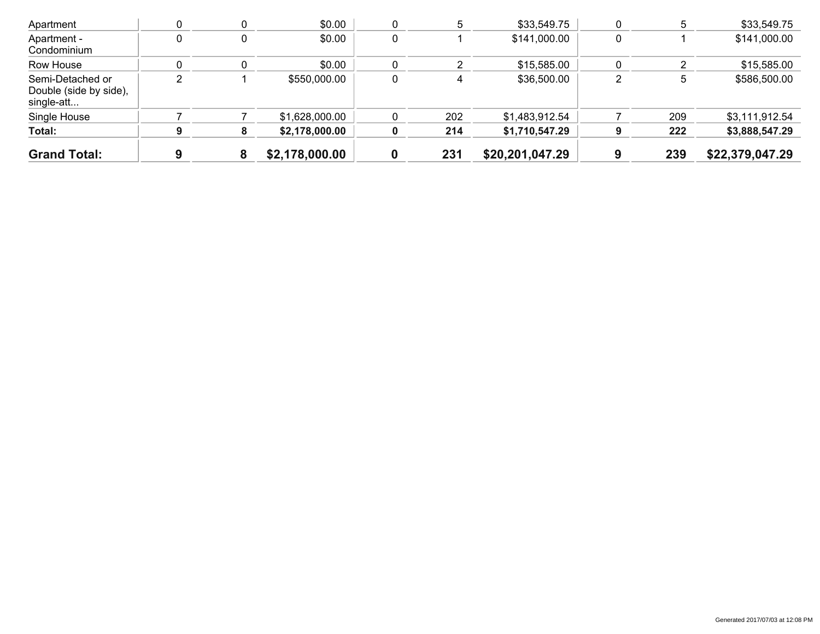| <b>Grand Total:</b>                                      |   | 8 | \$2,178,000.00 |   | 231 | \$20,201,047.29 | 239 | \$22,379,047.29 |
|----------------------------------------------------------|---|---|----------------|---|-----|-----------------|-----|-----------------|
| Total:                                                   | 9 | 8 | \$2,178,000.00 |   | 214 | \$1,710,547.29  | 222 | \$3,888,547.29  |
| Single House                                             |   |   | \$1,628,000.00 |   | 202 | \$1,483,912.54  | 209 | \$3,111,912.54  |
| Semi-Detached or<br>Double (side by side),<br>single-att | 2 |   | \$550,000.00   | 0 |     | \$36,500.00     | 5   | \$586,500.00    |
| Row House                                                |   |   | \$0.00         |   |     | \$15,585.00     |     | \$15,585.00     |
| Apartment -<br>Condominium                               | 0 | U | \$0.00         | 0 |     | \$141,000.00    |     | \$141,000.00    |
| Apartment                                                |   |   | \$0.00         |   |     | \$33,549.75     |     | \$33,549.75     |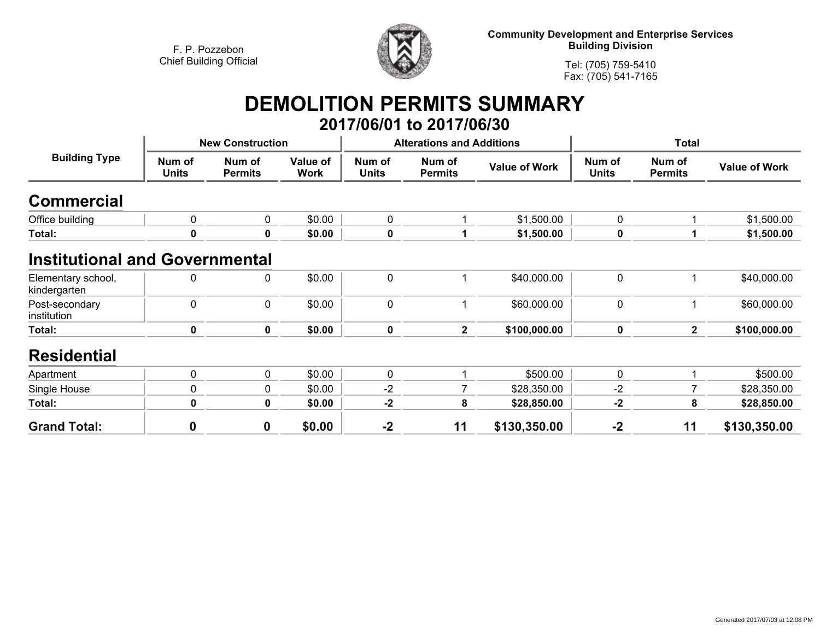

**Community Development and Enterprise Services Building Division**

**Tel: (705) 759-5410Fax: (705) 541-7165**

## **DEMOLITION PERMITS SUMMARY 2017/06/01 to 2017/06/30**

| <b>Building Type</b>                  |                        | <b>New Construction</b>  |                         |                        | <b>Alterations and Additions</b> |                      | <b>Total</b>           |                          |                      |
|---------------------------------------|------------------------|--------------------------|-------------------------|------------------------|----------------------------------|----------------------|------------------------|--------------------------|----------------------|
|                                       | Num of<br><b>Units</b> | Num of<br><b>Permits</b> | Value of<br><b>Work</b> | Num of<br><b>Units</b> | Num of<br><b>Permits</b>         | <b>Value of Work</b> | Num of<br><b>Units</b> | Num of<br><b>Permits</b> | <b>Value of Work</b> |
| <b>Commercial</b>                     |                        |                          |                         |                        |                                  |                      |                        |                          |                      |
| Office building                       | 0                      | $\mathbf 0$              | \$0.00                  | $\mathbf 0$            |                                  | \$1,500.00           | 0                      |                          | \$1,500.00           |
| Total:                                | 0                      | 0                        | \$0.00                  | $\mathbf 0$            |                                  | \$1,500.00           | 0                      |                          | \$1,500.00           |
| <b>Institutional and Governmental</b> |                        |                          |                         |                        |                                  |                      |                        |                          |                      |
| Elementary school,<br>kindergarten    | 0                      | 0                        | \$0.00                  | $\pmb{0}$              |                                  | \$40,000.00          | 0                      |                          | \$40,000.00          |
| Post-secondary<br>institution         | 0                      | $\mathbf 0$              | \$0.00                  | $\mathbf 0$            |                                  | \$60,000.00          | 0                      |                          | \$60,000.00          |
| Total:                                | 0                      | $\mathbf{0}$             | \$0.00                  | $\mathbf 0$            | $\overline{2}$                   | \$100,000.00         | $\mathbf 0$            | $\mathbf{2}$             | \$100,000.00         |
| <b>Residential</b>                    |                        |                          |                         |                        |                                  |                      |                        |                          |                      |
| Apartment                             | 0                      | $\mathbf 0$              | \$0.00                  | $\mathbf 0$            |                                  | \$500.00             | 0                      |                          | \$500.00             |
| Single House                          | 0                      | 0                        | \$0.00                  | $-2$                   | 7                                | \$28,350.00          | $-2$                   |                          | \$28,350.00          |
| Total:                                | 0                      | 0                        | \$0.00                  | $-2$                   | 8                                | \$28,850.00          | $-2$                   | 8                        | \$28,850.00          |
| <b>Grand Total:</b>                   | 0                      | $\mathbf 0$              | \$0.00                  | $-2$                   | 11                               | \$130,350.00         | $-2$                   | 11                       | \$130,350.00         |